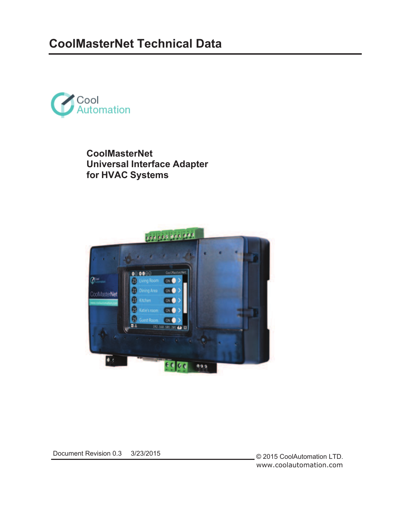

**CoolMasterNet Universal Interface Adapter for HVAC Systems**



Document Revision 0.3 3/23/2015

© 2015 CoolAutomation LTD. www.coolautomation.com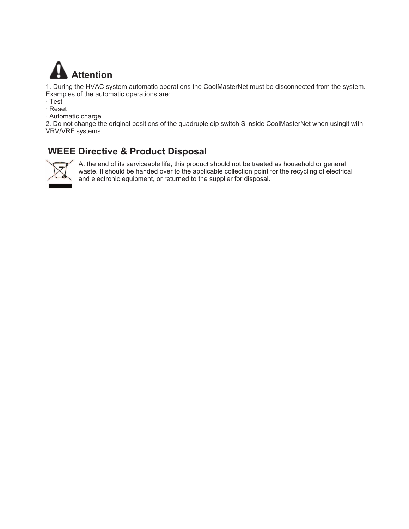

1. During the HVAC system automatic operations the CoolMasterNet must be disconnected from the system. Examples of the automatic operations are:

- · Test
- · Reset
- · Automatic charge

2. Do not change the original positions of the quadruple dip switch S inside CoolMasterNet when usingit with VRV/VRF systems.

### **WEEE Directive & Product Disposal**



At the end of its serviceable life, this product should not be treated as household or general waste. It should be handed over to the applicable collection point for the recycling of electrical and electronic equipment, or returned to the supplier for disposal.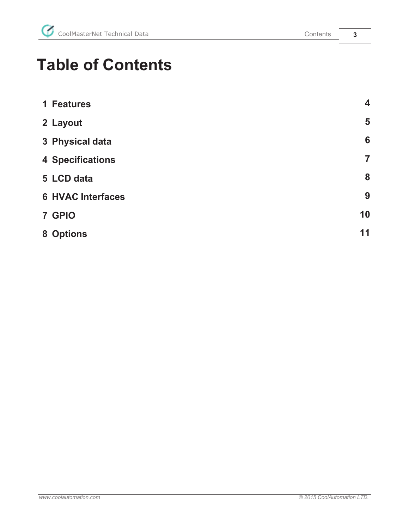# **Table of Contents**

| 1 Features |                          | $\overline{\mathbf{4}}$ |
|------------|--------------------------|-------------------------|
| 2 Layout   |                          | 5                       |
|            | 3 Physical data          | 6                       |
|            | <b>4 Specifications</b>  | $\overline{7}$          |
| 5 LCD data |                          | 8                       |
|            | <b>6 HVAC Interfaces</b> | 9                       |
| 7 GPIO     |                          | 10                      |
| 8 Options  |                          | 11                      |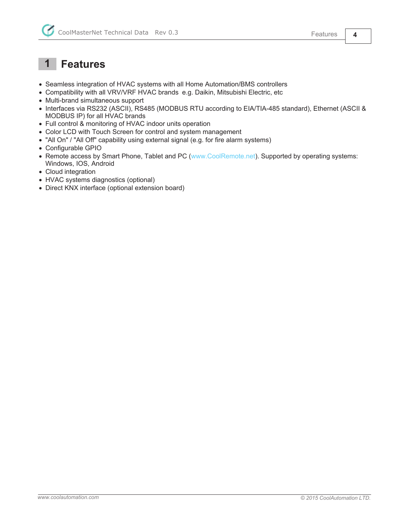### **1 Features**

- Seamless integration of HVAC systems with all Home Automation/BMS controllers
- Compatibility with all VRV/VRF HVAC brands e.g. Daikin, Mitsubishi Electric, etc
- Multi-brand simultaneous support
- Interfaces via RS232 (ASCII), RS485 (MODBUS RTU according to EIA/TIA-485 standard), Ethernet (ASCII & MODBUS IP) for all HVAC brands
- Full control & monitoring of HVAC indoor units operation
- Color LCD with Touch Screen for control and system management
- "All On" / "All Off" capability using external signal (e.g. for fire alarm systems)
- Configurable GPIO
- Remote access by Smart Phone, Tablet and PC (www.CoolRemote.net). Supported by operating systems: Windows, IOS, Android
- Cloud integration
- HVAC systems diagnostics (optional)
- Direct KNX interface (optional extension board)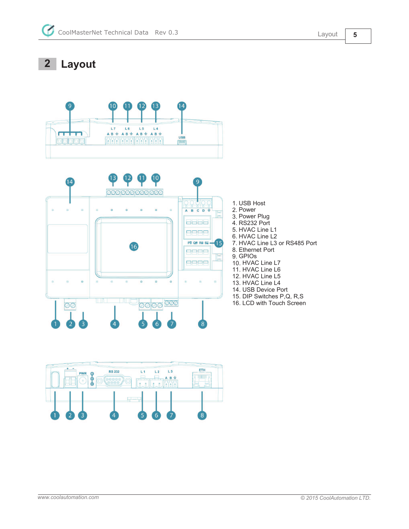**2 Layout**



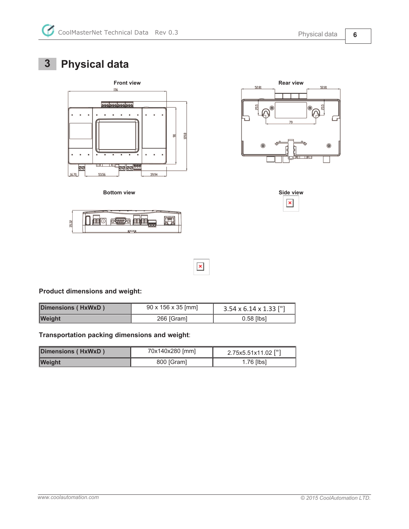## **3 Physical data**











**Product dimensions and weight:**

| Dimensions (HxWxD) | $90 \times 156 \times 35$ [mm] | $3.54 \times 6.14 \times 1.33$ ["] |  |
|--------------------|--------------------------------|------------------------------------|--|
| <b>Weight</b>      | 266 [Gram]                     | $0.58$ [lbs]                       |  |

 $\pmb{\times}$ 

**Transportation packing dimensions and weight**:

| Dimensions (HxWxD) | 70x140x280 [mm] | 2.75x5.51x11.02 ["] |  |  |
|--------------------|-----------------|---------------------|--|--|
| <b>Weight</b>      | 800 [Gram]      | $1.76$ [lbs]        |  |  |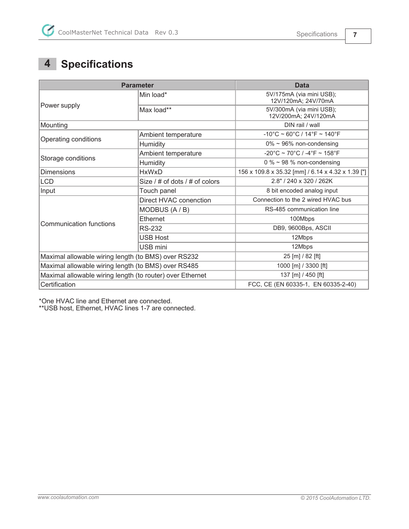### **4 Specifications**

|                                                           | <b>Parameter</b>                   | <b>Data</b>                                                            |  |  |
|-----------------------------------------------------------|------------------------------------|------------------------------------------------------------------------|--|--|
|                                                           | Min load*                          | 5V/175mA (via mini USB);<br>12V/120mA; 24V/70mA                        |  |  |
| Power supply                                              | Max load**                         | 5V/300mA (via mini USB);<br>12V/200mA; 24V/120mA                       |  |  |
| Mounting                                                  |                                    | DIN rail / wall                                                        |  |  |
|                                                           | Ambient temperature                | $-10^{\circ}$ C ~ 60 $^{\circ}$ C / 14 $^{\circ}$ F ~ 140 $^{\circ}$ F |  |  |
| Operating conditions                                      | <b>Humidity</b>                    | $0\% \sim 96\%$ non-condensing                                         |  |  |
|                                                           | Ambient temperature                | $-20^{\circ}$ C ~ 70 $^{\circ}$ C / -4 $^{\circ}$ F ~ 158 $^{\circ}$ F |  |  |
| Storage conditions                                        | Humidity                           | 0 % $\sim$ 98 % non-condensing                                         |  |  |
| <b>Dimensions</b>                                         | <b>HxWxD</b>                       | 156 x 109.8 x 35.32 [mm] / 6.14 x 4.32 x 1.39 ["]                      |  |  |
| LCD                                                       | Size $/$ # of dots $/$ # of colors | 2.8" / 240 x 320 / 262K                                                |  |  |
| Input                                                     | Touch panel                        | 8 bit encoded analog input                                             |  |  |
|                                                           | Direct HVAC conenction             | Connection to the 2 wired HVAC bus                                     |  |  |
|                                                           | MODBUS (A / B)                     | RS-485 communication line                                              |  |  |
| Communication functions                                   | Ethernet                           | 100Mbps                                                                |  |  |
|                                                           | <b>RS-232</b>                      | DB9, 9600Bps, ASCII                                                    |  |  |
|                                                           | <b>USB Host</b>                    | 12Mbps                                                                 |  |  |
|                                                           | USB mini                           | 12Mbps                                                                 |  |  |
| Maximal allowable wiring length (to BMS) over RS232       |                                    | 25 [m] / 82 [ft]                                                       |  |  |
| Maximal allowable wiring length (to BMS) over RS485       |                                    | 1000 [m] / 3300 [ft]                                                   |  |  |
| Maximal allowable wiring length (to router) over Ethernet |                                    | 137 [m] / 450 [ft]                                                     |  |  |
| Certification                                             |                                    | FCC, CE (EN 60335-1, EN 60335-2-40)                                    |  |  |

\*One HVAC line and Ethernet are connected.

\*\*USB host, Ethernet, HVAC lines 1-7 are connected.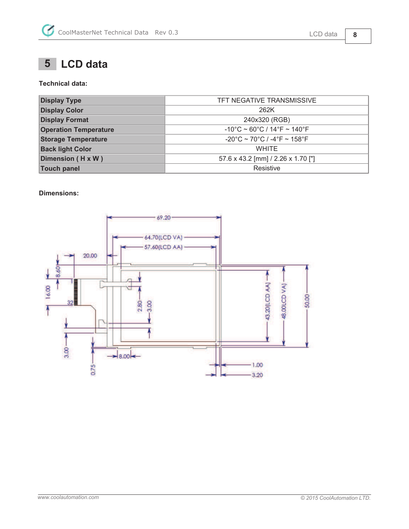### **5 LCD data**

#### **Technical data:**

| <b>Display Type</b>          | TFT NEGATIVE TRANSMISSIVE                                              |  |
|------------------------------|------------------------------------------------------------------------|--|
| <b>Display Color</b>         | 262K                                                                   |  |
| <b>Display Format</b>        | 240x320 (RGB)                                                          |  |
| <b>Operation Temperature</b> | $-10^{\circ}$ C ~ 60 $^{\circ}$ C / 14 $^{\circ}$ F ~ 140 $^{\circ}$ F |  |
| <b>Storage Temperature</b>   | $-20^{\circ}$ C ~ 70 $^{\circ}$ C / -4 $^{\circ}$ F ~ 158 $^{\circ}$ F |  |
| <b>Back light Color</b>      | <b>WHITE</b>                                                           |  |
| Dimension (H x W)            | 57.6 x 43.2 [mm] / 2.26 x 1.70 ["]                                     |  |
| <b>Touch panel</b>           | Resistive                                                              |  |

#### **Dimensions:**

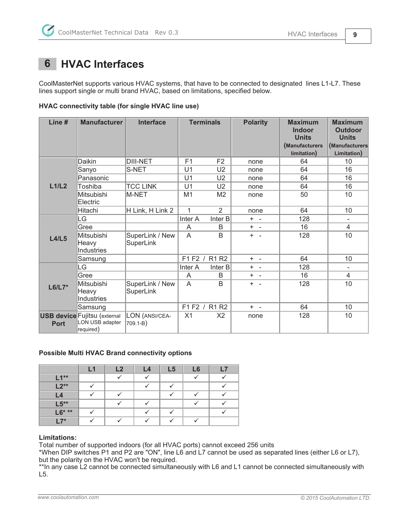### **6 HVAC Interfaces**

CoolMasterNet supports various HVAC systems, that have to be connected to designated lines L1-L7. These lines support single or multi brand HVAC, based on limitations, specified below.

| <b>HVAC connectivity table (for single HVAC line use)</b> |  |  |  |  |
|-----------------------------------------------------------|--|--|--|--|
|                                                           |  |  |  |  |

| Line #      | <b>Manufacturer</b>                                                 | <b>Interface</b>             | <b>Terminals</b> |                | <b>Polarity</b> | <b>Maximum</b><br><b>Indoor</b><br><b>Units</b><br>(Manufacturers<br>limitation) | <b>Maximum</b><br><b>Outdoor</b><br><b>Units</b><br>(Manufacturers<br>Limitation) |
|-------------|---------------------------------------------------------------------|------------------------------|------------------|----------------|-----------------|----------------------------------------------------------------------------------|-----------------------------------------------------------------------------------|
|             | Daikin                                                              | <b>DIII-NET</b>              | F <sub>1</sub>   | F <sub>2</sub> | none            | 64                                                                               | 10                                                                                |
|             | Sanyo                                                               | S-NET                        | U <sub>1</sub>   | U <sub>2</sub> | none            | 64                                                                               | 16                                                                                |
|             | Panasonic                                                           |                              | U <sub>1</sub>   | U <sub>2</sub> | none            | 64                                                                               | 16                                                                                |
| L1/L2       | Toshiba                                                             | <b>TCC LINK</b>              | U <sub>1</sub>   | U <sub>2</sub> | none            | 64                                                                               | 16                                                                                |
|             | Mitsubishi<br>Electric                                              | M-NET                        | M <sub>1</sub>   | M <sub>2</sub> | none            | 50                                                                               | 10                                                                                |
|             | Hitachi                                                             | H Link, H Link 2             | 1                | $\overline{2}$ | none            | 64                                                                               | 10                                                                                |
|             | LG                                                                  |                              | Inter A          | Inter B        | $+ -$           | 128                                                                              | $\overline{\phantom{a}}$                                                          |
|             | Gree                                                                |                              | A                | B              | $+ -$           | 16                                                                               | $\overline{4}$                                                                    |
| L4/L5       | Mitsubishi<br>Heavy<br>Industries                                   | SuperLink / New<br>SuperLink | A                | B              | $+ -$           | 128                                                                              | 10                                                                                |
|             | Samsung                                                             |                              | F1F2/            | <b>R1 R2</b>   | $+ -$           | 64                                                                               | 10                                                                                |
|             | LG                                                                  |                              | Inter A          | Inter B        | $+ -$           | 128                                                                              | -                                                                                 |
|             | Gree                                                                |                              | A                | B              | $+ -$           | 16                                                                               | 4                                                                                 |
| $L6/L7*$    | Mitsubishi<br>Heavy<br>Industries                                   | SuperLink / New<br>SuperLink | A                | B              | $+ -$           | 128                                                                              | 10                                                                                |
|             | Samsung                                                             |                              |                  | F1 F2 / R1 R2  | $+ -$           | 64                                                                               | 10                                                                                |
| <b>Port</b> | <b>USB device Fujitsu (external</b><br>LON USB adapter<br>required) | LON (ANSI/CEA-<br>709.1-B)   | X <sub>1</sub>   | X <sub>2</sub> | none            | 128                                                                              | 10                                                                                |

#### **Possible Multi HVAC Brand connectivity options**

|         | L1 | L2 | L4 | L <sub>5</sub> | L6 | 17 |
|---------|----|----|----|----------------|----|----|
| $L1**$  |    |    |    |                |    |    |
| $L2**$  |    |    |    |                |    |    |
| L4      |    |    |    |                |    |    |
| $L5**$  |    |    |    |                |    |    |
| $L6***$ |    |    |    |                |    |    |
| $L7*$   |    |    |    |                |    |    |

#### **Limitations:**

Total number of supported indoors (for all HVAC ports) cannot exceed 256 units

\*When DIP switches P1 and P2 are "ON", line L6 and L7 cannot be used as separated lines (either L6 or L7), but the polarity on the HVAC won't be required.

\*\*In any case L2 cannot be connected simultaneously with L6 and L1 cannot be connected simultaneously with L5.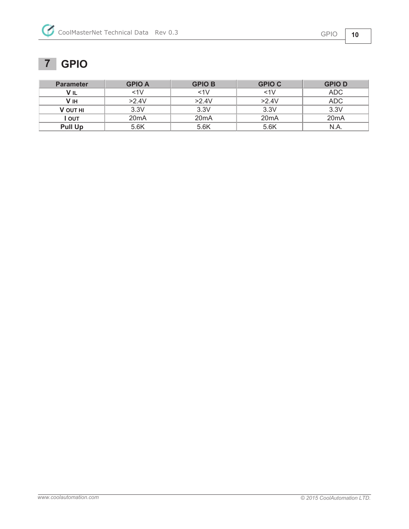# **7 GPIO**

| <b>Parameter</b> | <b>GPIO A</b>     | <b>GPIO B</b>     | <b>GPIO C</b>     | <b>GPIOD</b>      |
|------------------|-------------------|-------------------|-------------------|-------------------|
| V <sub>IL</sub>  | $<$ 1 $\vee$      | $<1$ V            | $<1$ V            | <b>ADC</b>        |
| V IH             | >2.4V             | $>2.4$ V          | >2.4V             | ADC               |
| <b>V OUT HI</b>  | 3.3V              | 3.3V              | 3.3V              | 3.3V              |
| Ι ουτ            | 20 <sub>m</sub> A | 20 <sub>m</sub> A | 20 <sub>m</sub> A | 20 <sub>m</sub> A |
| <b>Pull Up</b>   | 5.6K              | 5.6K              | 5.6K              | N.A.              |